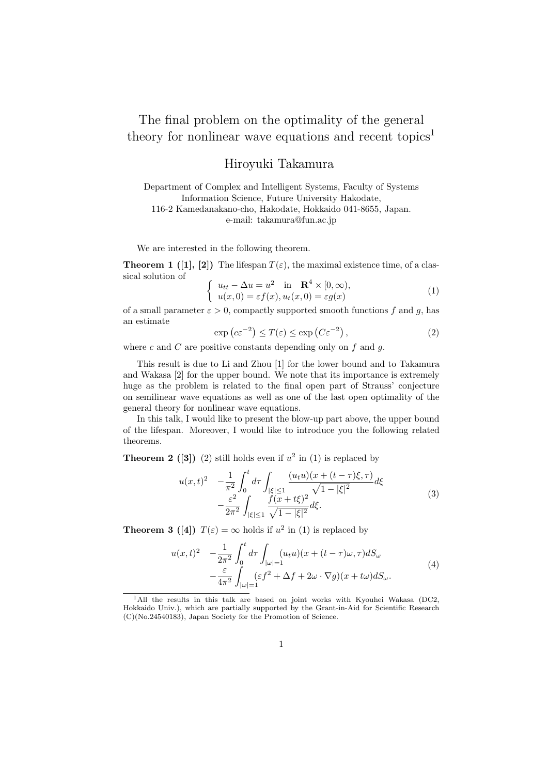## The final problem on the optimality of the general theory for nonlinear wave equations and recent topics<sup>1</sup>

## Hiroyuki Takamura

Department of Complex and Intelligent Systems, Faculty of Systems Information Science, Future University Hakodate, 116-2 Kamedanakano-cho, Hakodate, Hokkaido 041-8655, Japan. e-mail: takamura@fun.ac.jp

We are interested in the following theorem.

**Theorem 1 ([1], [2])** The lifespan  $T(\varepsilon)$ , the maximal existence time, of a classical solution of

$$
\begin{cases}\n u_{tt} - \Delta u = u^2 \quad \text{in} \quad \mathbf{R}^4 \times [0, \infty), \\
u(x, 0) = \varepsilon f(x), u_t(x, 0) = \varepsilon g(x)\n\end{cases} \tag{1}
$$

of a small parameter  $\varepsilon > 0$ , compactly supported smooth functions f and q, has an estimate

$$
\exp\left(c\varepsilon^{-2}\right) \le T(\varepsilon) \le \exp\left(C\varepsilon^{-2}\right),\tag{2}
$$

where *c* and *C* are positive constants depending only on *f* and *g*.

This result is due to Li and Zhou [1] for the lower bound and to Takamura and Wakasa [2] for the upper bound. We note that its importance is extremely huge as the problem is related to the final open part of Strauss' conjecture on semilinear wave equations as well as one of the last open optimality of the general theory for nonlinear wave equations.

In this talk, I would like to present the blow-up part above, the upper bound of the lifespan. Moreover, I would like to introduce you the following related theorems.

**Theorem 2** ([3]) (2) still holds even if  $u^2$  in (1) is replaced by

$$
u(x,t)^2 \quad -\frac{1}{\pi^2} \int_0^t d\tau \int_{|\xi| \le 1} \frac{(u_t u)(x + (t - \tau)\xi, \tau)}{\sqrt{1 - |\xi|^2}} d\xi - \frac{\varepsilon^2}{2\pi^2} \int_{|\xi| \le 1} \frac{f(x + t\xi)^2}{\sqrt{1 - |\xi|^2}} d\xi.
$$
 (3)

**Theorem 3 ([4])**  $T(\varepsilon) = \infty$  holds if  $u^2$  in (1) is replaced by

$$
u(x,t)^2 - \frac{1}{2\pi^2} \int_0^t d\tau \int_{|\omega|=1} (u_t u)(x + (t - \tau)\omega, \tau) dS_\omega
$$
  
 
$$
- \frac{\varepsilon}{4\pi^2} \int_{|\omega|=1} (\varepsilon f^2 + \Delta f + 2\omega \cdot \nabla g)(x + t\omega) dS_\omega.
$$
 (4)

<sup>&</sup>lt;sup>1</sup>All the results in this talk are based on joint works with Kyouhei Wakasa (DC2, Hokkaido Univ.), which are partially supported by the Grant-in-Aid for Scientific Research (C)(No.24540183), Japan Society for the Promotion of Science.